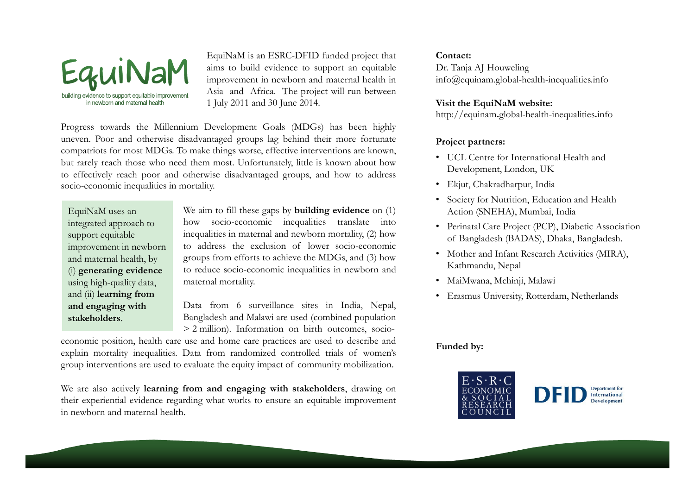

EquiNaM is an ESRC-DFID funded project that aims to build evidence to support an equitable improvement in newborn and maternal health in Asia and Africa. The project will run between 1 July <sup>2011</sup> and <sup>30</sup> June 2014.

Progress towards the Millennium Development Goals (MDGs) has been highly uneven. Poor and otherwise disadvantaged groups lag behind their more fortunate compatriots for most MDGs. To make things worse, effective interventions are known, but rarely reach those who need them most. Unfortunately, little is known about how to effectively reach poor and otherwise disadvantaged groups, and how to address socio-economic inequalities in mortality.

EquiNaM uses an integrated approach to support equitable and maternal health, by (i) generating evidence using high-quality data, and (ii) learning from and engaging with stakeholders.

We aim to fill these gaps by **building evidence** on (1) how socio-economic inequalities translate into inequalities in maternal and newborn mortality, (2) how to address the exclusion of lower socio-economic improvement in newborn to address the exclusion of lower socio-economic<br>and maternal health, by groups from efforts to achieve the MDGs, and (3) how to reduce socio-economic inequalities in newborn and maternal mortality.

> Data from <sup>6</sup> surveillance sites in India, Nepal, Bangladesh and Malawi are used (combined population > <sup>2</sup> million). Information on birth outcomes, socio-

economic position, health care use and home care practices are used to describe and explain mortality inequalities. Data from randomized controlled trials of women's group interventions are used to evaluate the equity impact of community mobilization.

We are also actively learning from and engaging with stakeholders, drawing on their experiential evidence regarding what works to ensure an equitable improvement in newborn and maternal health.

#### Contact:

Dr. Tanja AJ Houweling info@equinam.global-health-inequalities.info

### Visit the EquiNaM website:

http://equinam.global-health-inequalities.info

# Project partners:

- UCL Centre for International Health and Development, London, UK
- Ekjut, Chakradharpur, India
- Society for Nutrition, Education and Health Action (SNEHA), Mumbai, India
- Perinatal Care Project (PCP), Diabetic Association of Bangladesh (BADAS), Dhaka, Bangladesh.
- Mother and Infant Research Activities (MIRA), Kathmandu, Nepal
- MaiMwana, Mchinji, Malawi
- Erasmus University, Rotterdam, Netherlands

## Funded by: